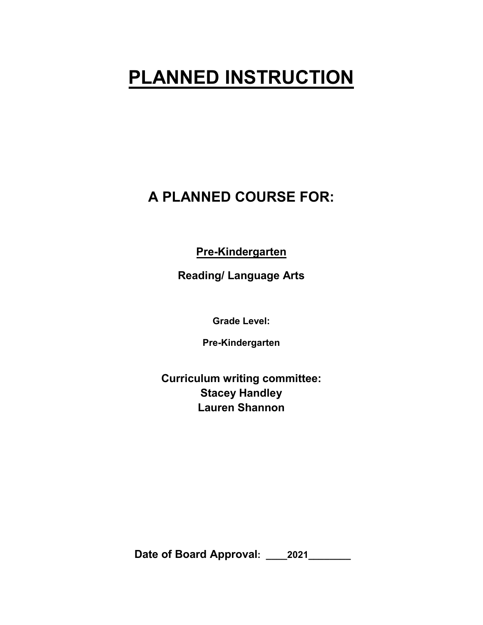# **PLANNED INSTRUCTION**

# **A PLANNED COURSE FOR:**

**Pre-Kindergarten**

**Reading/ Language Arts**

**Grade Level:**

**Pre-Kindergarten**

**Curriculum writing committee: Stacey Handley Lauren Shannon** 

**Date of Board Approval: \_\_\_\_2021\_\_\_\_\_\_\_\_**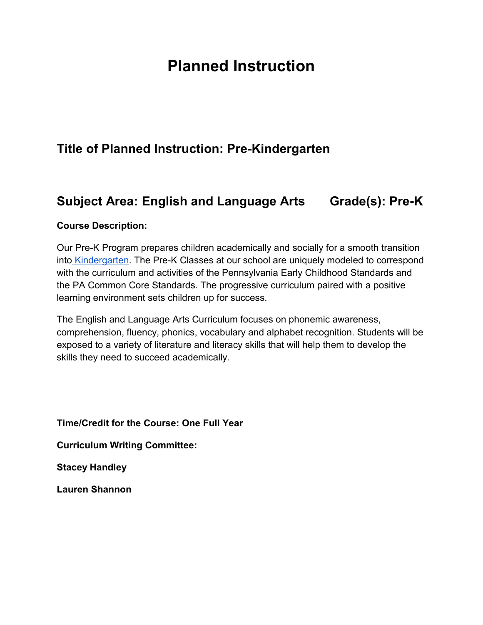# **Planned Instruction**

## **Title of Planned Instruction: Pre-Kindergarten**

## **Subject Area: English and Language Arts Grade(s): Pre-K**

#### **Course Description:**

Our Pre-K Program prepares children academically and socially for a smooth transition into [Kindergarten.](https://www.pdesas.org/) The Pre-K Classes at our school are uniquely modeled to correspond with the curriculum and activities of the Pennsylvania Early Childhood Standards and the PA Common Core Standards. The progressive curriculum paired with a positive learning environment sets children up for success.

The English and Language Arts Curriculum focuses on phonemic awareness, comprehension, fluency, phonics, vocabulary and alphabet recognition. Students will be exposed to a variety of literature and literacy skills that will help them to develop the skills they need to succeed academically.

**Time/Credit for the Course: One Full Year**

**Curriculum Writing Committee:**

**Stacey Handley**

**Lauren Shannon**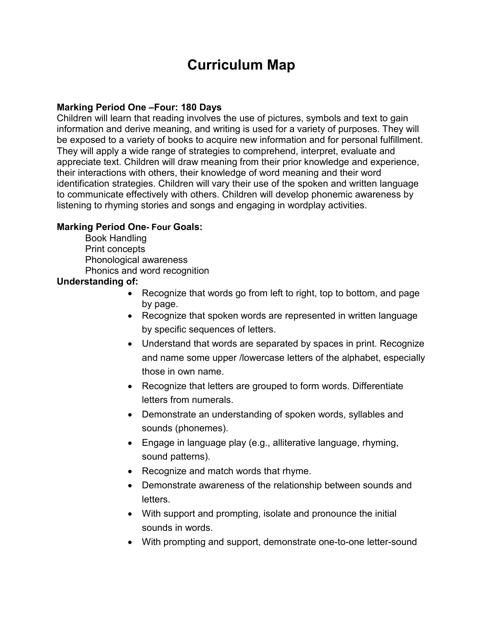# **Curriculum Map**

#### **Marking Period One –Four: 180 Days**

Children will learn that reading involves the use of pictures, symbols and text to gain information and derive meaning, and writing is used for a variety of purposes. They will be exposed to a variety of books to acquire new information and for personal fulfillment. They will apply a wide range of strategies to comprehend, interpret, evaluate and appreciate text. Children will draw meaning from their prior knowledge and experience, their interactions with others, their knowledge of word meaning and their word identification strategies. Children will vary their use of the spoken and written language to communicate effectively with others. Children will develop phonemic awareness by listening to rhyming stories and songs and engaging in wordplay activities.

#### **Marking Period One- Four Goals:**

Book Handling Print concepts Phonological awareness Phonics and word recognition

#### **Understanding of:**

- Recognize that words go from left to right, top to bottom, and page by page.
- Recognize that spoken words are represented in written language by specific sequences of letters.
- Understand that words are separated by spaces in print. Recognize and name some upper /lowercase letters of the alphabet, especially those in own name.
- Recognize that letters are grouped to form words. Differentiate letters from numerals.
- Demonstrate an understanding of spoken words, syllables and sounds (phonemes).
- Engage in language play (e.g., alliterative language, rhyming, sound patterns).
- Recognize and match words that rhyme.
- Demonstrate awareness of the relationship between sounds and letters.
- With support and prompting, isolate and pronounce the initial sounds in words.
- With prompting and support, demonstrate one-to-one letter-sound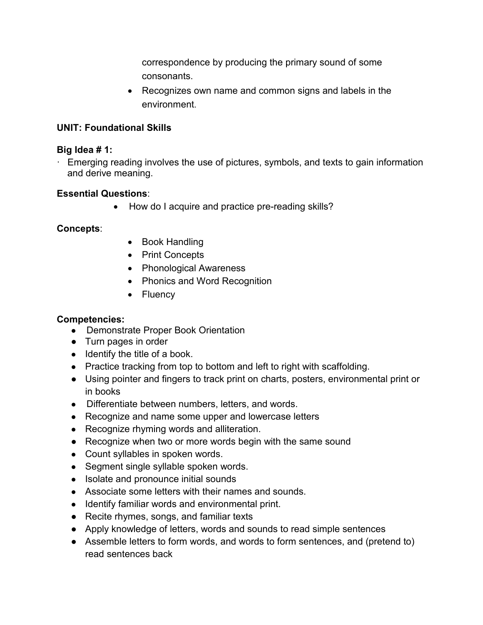correspondence by producing the primary sound of some consonants.

• Recognizes own name and common signs and labels in the environment.

## **UNIT: Foundational Skills**

#### **Big Idea # 1:**

· Emerging reading involves the use of pictures, symbols, and texts to gain information and derive meaning.

## **Essential Questions**:

• How do I acquire and practice pre-reading skills?

## **Concepts**:

- Book Handling
- Print Concepts
- Phonological Awareness
- Phonics and Word Recognition
- Fluency

## **Competencies:**

- Demonstrate Proper Book Orientation
- Turn pages in order
- Identify the title of a book.
- Practice tracking from top to bottom and left to right with scaffolding.
- Using pointer and fingers to track print on charts, posters, environmental print or in books
- Differentiate between numbers, letters, and words.
- Recognize and name some upper and lowercase letters
- Recognize rhyming words and alliteration.
- Recognize when two or more words begin with the same sound
- Count syllables in spoken words.
- Segment single syllable spoken words.
- Isolate and pronounce initial sounds
- Associate some letters with their names and sounds.
- Identify familiar words and environmental print.
- Recite rhymes, songs, and familiar texts
- Apply knowledge of letters, words and sounds to read simple sentences
- Assemble letters to form words, and words to form sentences, and (pretend to) read sentences back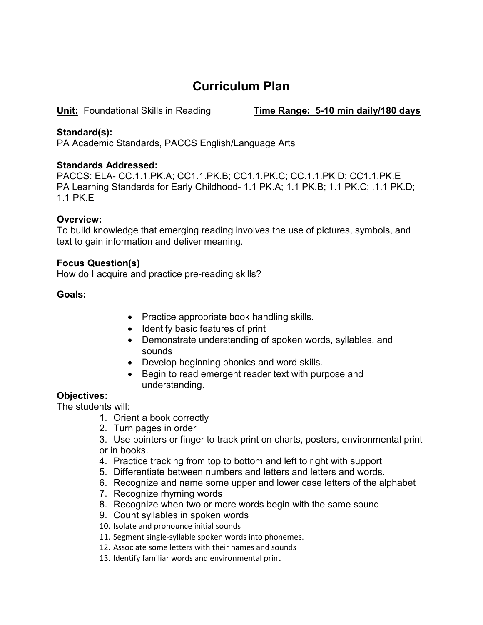# **Curriculum Plan**

**Unit:** Foundational Skills in Reading **Time Range: 5-10 min daily/180 days**

#### **Standard(s):**

PA Academic Standards, PACCS English/Language Arts

#### **Standards Addressed:**

PACCS: ELA- CC.1.1.PK.A; CC1.1.PK.B; CC1.1.PK.C; CC.1.1.PK D; CC1.1.PK.E PA Learning Standards for Early Childhood- 1.1 PK.A; 1.1 PK.B; 1.1 PK.C; .1.1 PK.D; 1.1 PK.E

#### **Overview:**

To build knowledge that emerging reading involves the use of pictures, symbols, and text to gain information and deliver meaning.

#### **Focus Question(s)**

How do I acquire and practice pre-reading skills?

#### **Goals:**

- Practice appropriate book handling skills.
- Identify basic features of print
- Demonstrate understanding of spoken words, syllables, and sounds
- Develop beginning phonics and word skills.
- Begin to read emergent reader text with purpose and understanding.

## **Objectives:**

The students will:

- 1. Orient a book correctly
- 2. Turn pages in order
- 3. Use pointers or finger to track print on charts, posters, environmental print or in books.
- 4. Practice tracking from top to bottom and left to right with support
- 5. Differentiate between numbers and letters and letters and words.
- 6. Recognize and name some upper and lower case letters of the alphabet
- 7. Recognize rhyming words
- 8. Recognize when two or more words begin with the same sound
- 9. Count syllables in spoken words
- 10. Isolate and pronounce initial sounds
- 11. Segment single-syllable spoken words into phonemes.
- 12. Associate some letters with their names and sounds
- 13. Identify familiar words and environmental print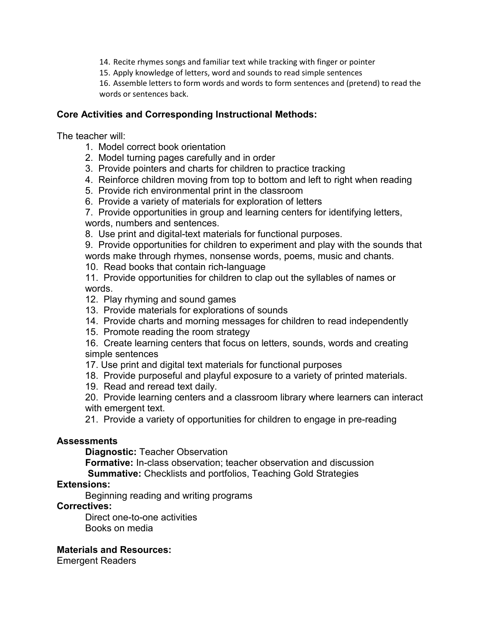14. Recite rhymes songs and familiar text while tracking with finger or pointer

15. Apply knowledge of letters, word and sounds to read simple sentences

16. Assemble letters to form words and words to form sentences and (pretend) to read the words or sentences back.

#### **Core Activities and Corresponding Instructional Methods:**

The teacher will:

- 1. Model correct book orientation
- 2. Model turning pages carefully and in order
- 3. Provide pointers and charts for children to practice tracking
- 4. Reinforce children moving from top to bottom and left to right when reading
- 5. Provide rich environmental print in the classroom
- 6. Provide a variety of materials for exploration of letters

7. Provide opportunities in group and learning centers for identifying letters, words, numbers and sentences.

8. Use print and digital-text materials for functional purposes.

9. Provide opportunities for children to experiment and play with the sounds that words make through rhymes, nonsense words, poems, music and chants.

10. Read books that contain rich-language

11. Provide opportunities for children to clap out the syllables of names or words.

- 12. Play rhyming and sound games
- 13. Provide materials for explorations of sounds
- 14. Provide charts and morning messages for children to read independently
- 15. Promote reading the room strategy

16. Create learning centers that focus on letters, sounds, words and creating simple sentences

- 17. Use print and digital text materials for functional purposes
- 18. Provide purposeful and playful exposure to a variety of printed materials.
- 19. Read and reread text daily.

20. Provide learning centers and a classroom library where learners can interact with emergent text.

21. Provide a variety of opportunities for children to engage in pre-reading

#### **Assessments**

**Diagnostic:** Teacher Observation

**Formative:** In-class observation; teacher observation and discussion

**Summative:** Checklists and portfolios, Teaching Gold Strategies

#### **Extensions:**

Beginning reading and writing programs

#### **Correctives:**

Direct one-to-one activities

Books on media

#### **Materials and Resources:**

Emergent Readers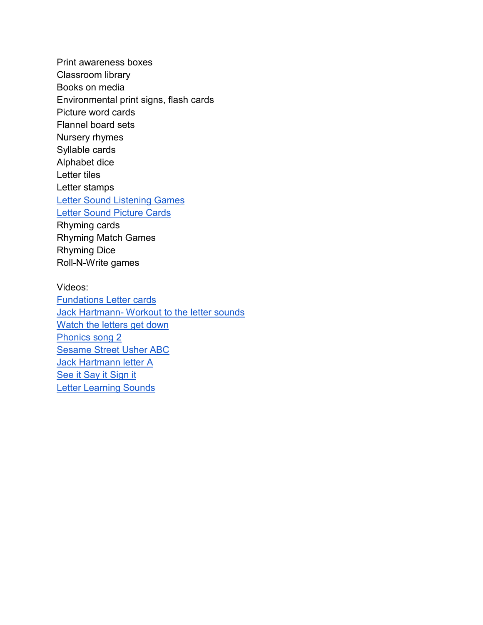Print awareness boxes Classroom library Books on media Environmental print signs, flash cards Picture word cards Flannel board sets Nursery rhymes Syllable cards Alphabet dice Letter tiles Letter stamps [Letter Sound Listening Games](http://www.prekinders.com/letter-sounds-listening-games/) [Letter Sound Picture Cards](http://www.prekinders.com/letter-sounds-printables/) Rhyming cards Rhyming Match Games Rhyming Dice Roll-N-Write games

Videos: [Fundations Letter cards](https://www.youtube.com/watch?v=2MMiie4vNwk) Jack Hartmann- [Workout to the letter sounds](https://www.youtube.com/watch?v=gi1dwHp1ppU) [Watch the letters get down](https://www.youtube.com/watch?v=VgDmGu7Pur8) [Phonics song 2](https://www.youtube.com/watch?v=VgDmGu7Pur8) [Sesame Street Usher ABC](https://www.youtube.com/watch?v=SWvBAQf7v8g) [Jack Hartmann letter A](https://www.youtube.com/watch?v=KGZFmW3uPJE) [See it Say it Sign it](https://www.youtube.com/watch?v=WP1blVh1ZQM&t=46s) [Letter Learning Sounds](https://www.youtube.com/watch?v=vwxNBQnhRrM)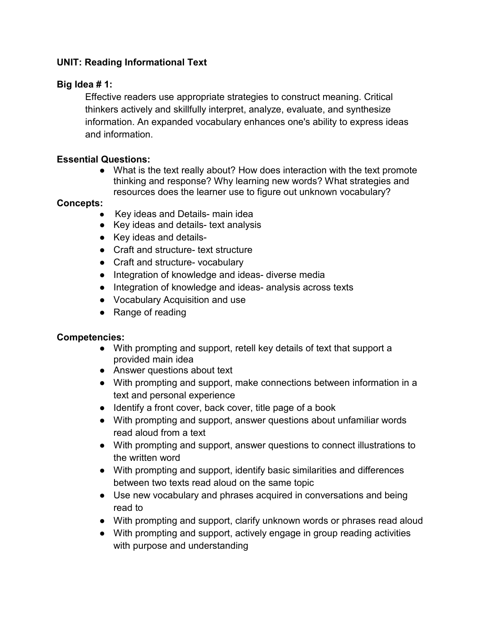## **UNIT: Reading Informational Text**

## **Big Idea # 1:**

Effective readers use appropriate strategies to construct meaning. Critical thinkers actively and skillfully interpret, analyze, evaluate, and synthesize information. An expanded vocabulary enhances one's ability to express ideas and information.

## **Essential Questions:**

● What is the text really about? How does interaction with the text promote thinking and response? Why learning new words? What strategies and resources does the learner use to figure out unknown vocabulary?

## **Concepts:**

- Key ideas and Details- main idea
- Key ideas and details- text analysis
- Key ideas and details-
- Craft and structure- text structure
- Craft and structure- vocabulary
- Integration of knowledge and ideas- diverse media
- Integration of knowledge and ideas- analysis across texts
- Vocabulary Acquisition and use
- Range of reading

## **Competencies:**

- With prompting and support, retell key details of text that support a provided main idea
- Answer questions about text
- With prompting and support, make connections between information in a text and personal experience
- Identify a front cover, back cover, title page of a book
- With prompting and support, answer questions about unfamiliar words read aloud from a text
- With prompting and support, answer questions to connect illustrations to the written word
- With prompting and support, identify basic similarities and differences between two texts read aloud on the same topic
- Use new vocabulary and phrases acquired in conversations and being read to
- With prompting and support, clarify unknown words or phrases read aloud
- With prompting and support, actively engage in group reading activities with purpose and understanding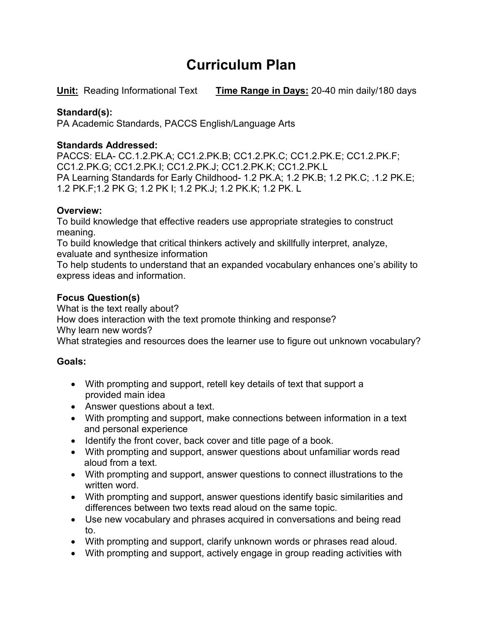# **Curriculum Plan**

**Unit:** Reading Informational Text **Time Range in Days:** 20-40 min daily/180 days

## **Standard(s):**

PA Academic Standards, PACCS English/Language Arts

## **Standards Addressed:**

PACCS: ELA- CC.1.2.PK.A; CC1.2.PK.B; CC1.2.PK.C; CC1.2.PK.E; CC1.2.PK.F; CC1.2.PK.G; CC1.2.PK.I; CC1.2.PK.J; CC1.2.PK.K; CC1.2.PK.L PA Learning Standards for Early Childhood- 1.2 PK.A; 1.2 PK.B; 1.2 PK.C; .1.2 PK.E; 1.2 PK.F;1.2 PK G; 1.2 PK I; 1.2 PK.J; 1.2 PK.K; 1.2 PK. L

## **Overview:**

To build knowledge that effective readers use appropriate strategies to construct meaning.

To build knowledge that critical thinkers actively and skillfully interpret, analyze, evaluate and synthesize information

To help students to understand that an expanded vocabulary enhances one's ability to express ideas and information.

## **Focus Question(s)**

What is the text really about?

How does interaction with the text promote thinking and response?

Why learn new words?

What strategies and resources does the learner use to figure out unknown vocabulary?

## **Goals:**

- With prompting and support, retell key details of text that support a provided main idea
- Answer questions about a text.
- With prompting and support, make connections between information in a text and personal experience
- Identify the front cover, back cover and title page of a book.
- With prompting and support, answer questions about unfamiliar words read aloud from a text.
- With prompting and support, answer questions to connect illustrations to the written word.
- With prompting and support, answer questions identify basic similarities and differences between two texts read aloud on the same topic.
- Use new vocabulary and phrases acquired in conversations and being read to.
- With prompting and support, clarify unknown words or phrases read aloud.
- With prompting and support, actively engage in group reading activities with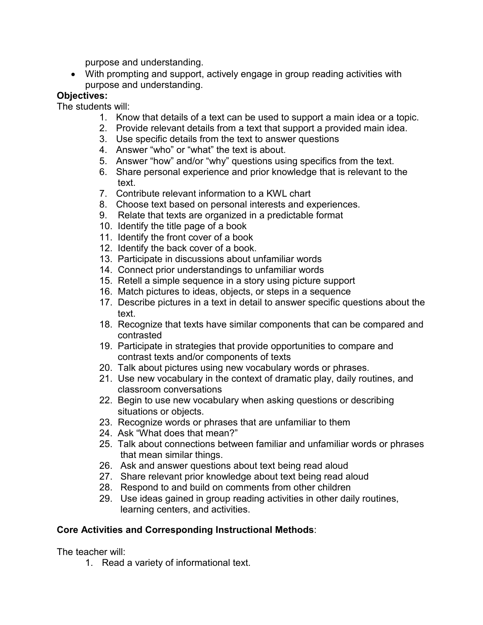purpose and understanding.

• With prompting and support, actively engage in group reading activities with purpose and understanding.

## **Objectives:**

The students will:

- 1. Know that details of a text can be used to support a main idea or a topic.
- 2. Provide relevant details from a text that support a provided main idea.
- 3. Use specific details from the text to answer questions
- 4. Answer "who" or "what" the text is about.
- 5. Answer "how" and/or "why" questions using specifics from the text.
- 6. Share personal experience and prior knowledge that is relevant to the text.
- 7. Contribute relevant information to a KWL chart
- 8. Choose text based on personal interests and experiences.
- 9. Relate that texts are organized in a predictable format
- 10. Identify the title page of a book
- 11. Identify the front cover of a book
- 12. Identify the back cover of a book.
- 13. Participate in discussions about unfamiliar words
- 14. Connect prior understandings to unfamiliar words
- 15. Retell a simple sequence in a story using picture support
- 16. Match pictures to ideas, objects, or steps in a sequence
- 17. Describe pictures in a text in detail to answer specific questions about the text.
- 18. Recognize that texts have similar components that can be compared and contrasted
- 19. Participate in strategies that provide opportunities to compare and contrast texts and/or components of texts
- 20. Talk about pictures using new vocabulary words or phrases.
- 21. Use new vocabulary in the context of dramatic play, daily routines, and classroom conversations
- 22. Begin to use new vocabulary when asking questions or describing situations or objects.
- 23. Recognize words or phrases that are unfamiliar to them
- 24. Ask "What does that mean?"
- 25. Talk about connections between familiar and unfamiliar words or phrases that mean similar things.
- 26. Ask and answer questions about text being read aloud
- 27. Share relevant prior knowledge about text being read aloud
- 28. Respond to and build on comments from other children
- 29. Use ideas gained in group reading activities in other daily routines, learning centers, and activities.

## **Core Activities and Corresponding Instructional Methods**:

The teacher will:

1. Read a variety of informational text.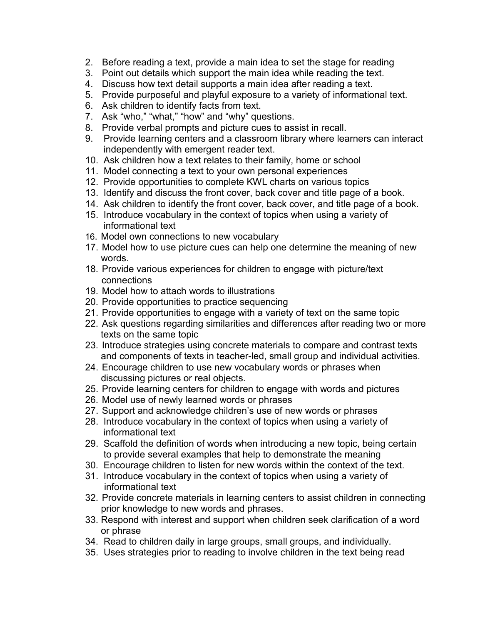- 2. Before reading a text, provide a main idea to set the stage for reading
- 3. Point out details which support the main idea while reading the text.
- 4. Discuss how text detail supports a main idea after reading a text.
- 5. Provide purposeful and playful exposure to a variety of informational text.
- 6. Ask children to identify facts from text.
- 7. Ask "who," "what," "how" and "why" questions.
- 8. Provide verbal prompts and picture cues to assist in recall.
- 9. Provide learning centers and a classroom library where learners can interact independently with emergent reader text.
- 10. Ask children how a text relates to their family, home or school
- 11. Model connecting a text to your own personal experiences
- 12. Provide opportunities to complete KWL charts on various topics
- 13. Identify and discuss the front cover, back cover and title page of a book.
- 14. Ask children to identify the front cover, back cover, and title page of a book.
- 15. Introduce vocabulary in the context of topics when using a variety of informational text
- 16. Model own connections to new vocabulary
- 17. Model how to use picture cues can help one determine the meaning of new words.
- 18. Provide various experiences for children to engage with picture/text connections
- 19. Model how to attach words to illustrations
- 20. Provide opportunities to practice sequencing
- 21. Provide opportunities to engage with a variety of text on the same topic
- 22. Ask questions regarding similarities and differences after reading two or more texts on the same topic
- 23. Introduce strategies using concrete materials to compare and contrast texts and components of texts in teacher-led, small group and individual activities.
- 24. Encourage children to use new vocabulary words or phrases when discussing pictures or real objects.
- 25. Provide learning centers for children to engage with words and pictures
- 26. Model use of newly learned words or phrases
- 27. Support and acknowledge children's use of new words or phrases
- 28. Introduce vocabulary in the context of topics when using a variety of informational text
- 29. Scaffold the definition of words when introducing a new topic, being certain to provide several examples that help to demonstrate the meaning
- 30. Encourage children to listen for new words within the context of the text.
- 31. Introduce vocabulary in the context of topics when using a variety of informational text
- 32. Provide concrete materials in learning centers to assist children in connecting prior knowledge to new words and phrases.
- 33. Respond with interest and support when children seek clarification of a word or phrase
- 34. Read to children daily in large groups, small groups, and individually.
- 35. Uses strategies prior to reading to involve children in the text being read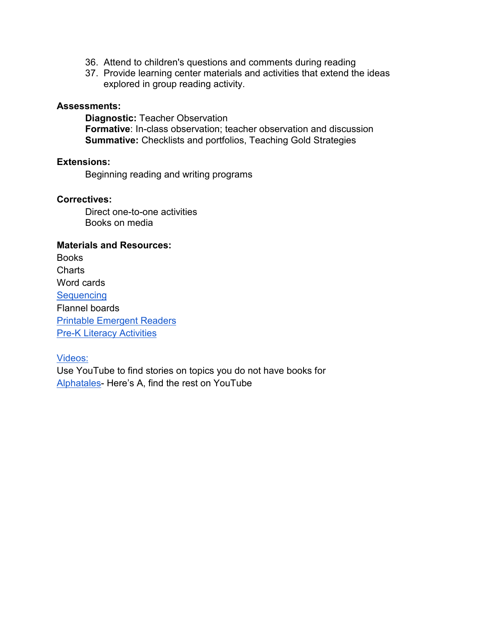- 36. Attend to children's questions and comments during reading
- 37. Provide learning center materials and activities that extend the ideas explored in group reading activity.

#### **Assessments:**

**Diagnostic:** Teacher Observation **Formative**: In-class observation; teacher observation and discussion **Summative:** Checklists and portfolios, Teaching Gold Strategies

#### **Extensions:**

Beginning reading and writing programs

#### **Correctives:**

Direct one-to-one activities Books on media

#### **Materials and Resources:**

**Books Charts** Word cards **[Sequencing](http://prekinders.com/2008/04/sequencing/)** Flannel boards [Printable Emergent Readers](http://www.prekinders.com/emergent-readers/) **[Pre-K Literacy Activities](http://www.pinterest.com/search/pins/?q=pre%20k%20literacy%20activities&rs=ac&len=8)** 

Videos:

Use YouTube to find stories on topics you do not have books for [Alphatales-](https://www.youtube.com/watch?v=aV7aS_YBWEs) Here's A, find the rest on YouTube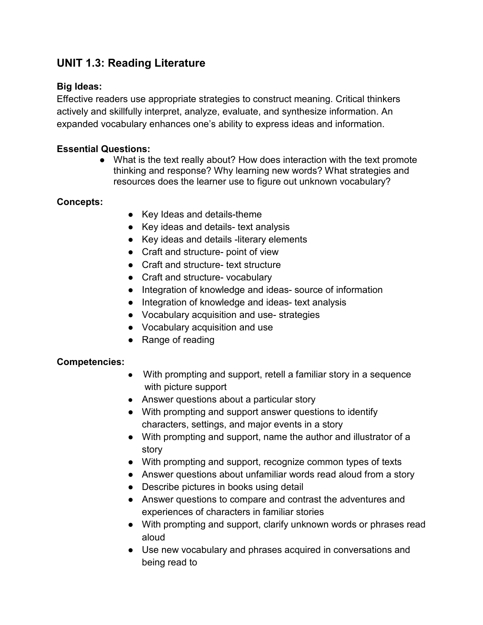## **UNIT 1.3: Reading Literature**

## **Big Ideas:**

Effective readers use appropriate strategies to construct meaning. Critical thinkers actively and skillfully interpret, analyze, evaluate, and synthesize information. An expanded vocabulary enhances one's ability to express ideas and information.

## **Essential Questions:**

• What is the text really about? How does interaction with the text promote thinking and response? Why learning new words? What strategies and resources does the learner use to figure out unknown vocabulary?

## **Concepts:**

- Key Ideas and details-theme
- Key ideas and details- text analysis
- Key ideas and details -literary elements
- Craft and structure- point of view
- Craft and structure- text structure
- Craft and structure- vocabulary
- Integration of knowledge and ideas- source of information
- Integration of knowledge and ideas- text analysis
- Vocabulary acquisition and use- strategies
- Vocabulary acquisition and use
- Range of reading

#### **Competencies:**

- With prompting and support, retell a familiar story in a sequence with picture support
- Answer questions about a particular story
- With prompting and support answer questions to identify characters, settings, and major events in a story
- With prompting and support, name the author and illustrator of a story
- With prompting and support, recognize common types of texts
- Answer questions about unfamiliar words read aloud from a story
- Describe pictures in books using detail
- Answer questions to compare and contrast the adventures and experiences of characters in familiar stories
- With prompting and support, clarify unknown words or phrases read aloud
- Use new vocabulary and phrases acquired in conversations and being read to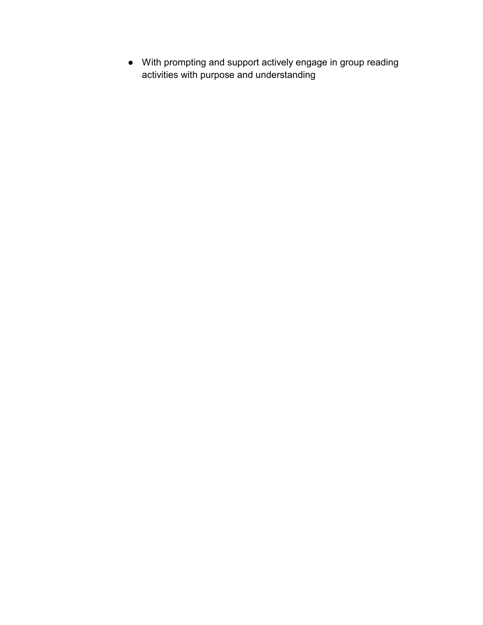● With prompting and support actively engage in group reading activities with purpose and understanding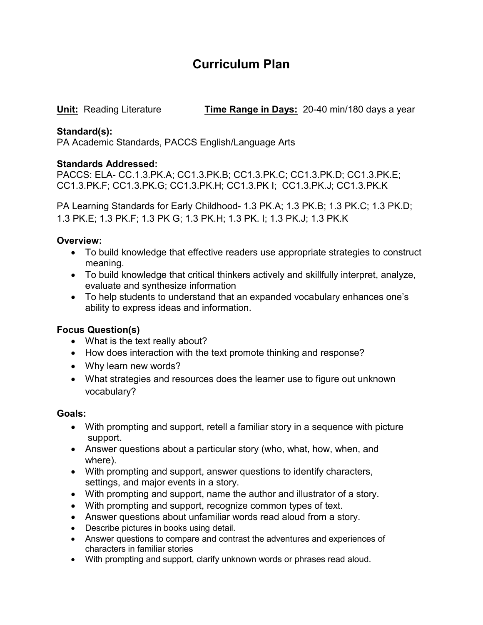# **Curriculum Plan**

**Unit:** Reading Literature **Time Range in Days:** 20-40 min/180 days a year

## **Standard(s):**

PA Academic Standards, PACCS English/Language Arts

## **Standards Addressed:**

PACCS: ELA- CC.1.3.PK.A; CC1.3.PK.B; CC1.3.PK.C; CC1.3.PK.D; CC1.3.PK.E; CC1.3.PK.F; CC1.3.PK.G; CC1.3.PK.H; CC1.3.PK I; CC1.3.PK.J; CC1.3.PK.K

PA Learning Standards for Early Childhood- 1.3 PK.A; 1.3 PK.B; 1.3 PK.C; 1.3 PK.D; 1.3 PK.E; 1.3 PK.F; 1.3 PK G; 1.3 PK.H; 1.3 PK. I; 1.3 PK.J; 1.3 PK.K

## **Overview:**

- To build knowledge that effective readers use appropriate strategies to construct meaning.
- To build knowledge that critical thinkers actively and skillfully interpret, analyze, evaluate and synthesize information
- To help students to understand that an expanded vocabulary enhances one's ability to express ideas and information.

## **Focus Question(s)**

- What is the text really about?
- How does interaction with the text promote thinking and response?
- Why learn new words?
- What strategies and resources does the learner use to figure out unknown vocabulary?

## **Goals:**

- With prompting and support, retell a familiar story in a sequence with picture support.
- Answer questions about a particular story (who, what, how, when, and where).
- With prompting and support, answer questions to identify characters, settings, and major events in a story.
- With prompting and support, name the author and illustrator of a story.
- With prompting and support, recognize common types of text.
- Answer questions about unfamiliar words read aloud from a story.
- Describe pictures in books using detail.
- Answer questions to compare and contrast the adventures and experiences of characters in familiar stories
- With prompting and support, clarify unknown words or phrases read aloud.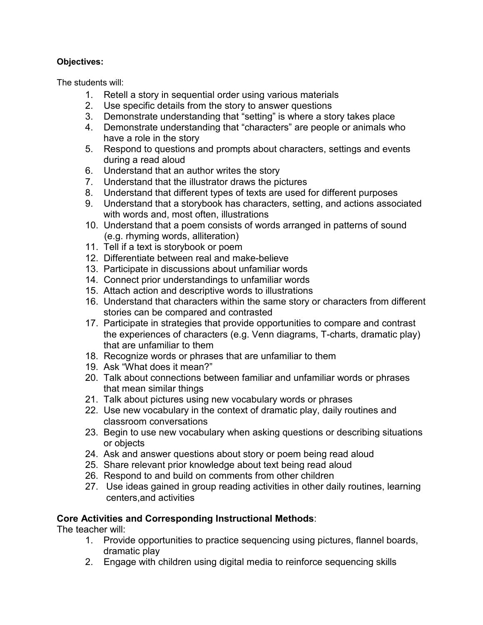## **Objectives:**

The students will:

- 1. Retell a story in sequential order using various materials
- 2. Use specific details from the story to answer questions<br>3. Demonstrate understanding that "setting" is where a sto
- 3. Demonstrate understanding that "setting" is where a story takes place
- 4. Demonstrate understanding that "characters" are people or animals who have a role in the story<br>5. Respond to questions a
- 5. Respond to questions and prompts about characters, settings and events during a read aloud
- 6. Understand that an author writes the story
- 7. Understand that the illustrator draws the pictures
- 8. Understand that different types of texts are used for different purposes
- 9. Understand that a storybook has characters, setting, and actions associated with words and, most often, illustrations
- 10. Understand that a poem consists of words arranged in patterns of sound (e.g. rhyming words, alliteration)
- 11. Tell if a text is storybook or poem
- 12. Differentiate between real and make-believe
- 13. Participate in discussions about unfamiliar words
- 14. Connect prior understandings to unfamiliar words
- 15. Attach action and descriptive words to illustrations
- 16. Understand that characters within the same story or characters from different stories can be compared and contrasted
- 17. Participate in strategies that provide opportunities to compare and contrast the experiences of characters (e.g. Venn diagrams, T-charts, dramatic play) that are unfamiliar to them
- 18. Recognize words or phrases that are unfamiliar to them
- 19. Ask "What does it mean?"
- 20. Talk about connections between familiar and unfamiliar words or phrases that mean similar things
- 21. Talk about pictures using new vocabulary words or phrases
- 22. Use new vocabulary in the context of dramatic play, daily routines and classroom conversations
- 23. Begin to use new vocabulary when asking questions or describing situations or objects
- 24. Ask and answer questions about story or poem being read aloud
- 25. Share relevant prior knowledge about text being read aloud
- 26. Respond to and build on comments from other children
- 27. Use ideas gained in group reading activities in other daily routines, learning centers,and activities

## **Core Activities and Corresponding Instructional Methods**:

The teacher will:

- 1. Provide opportunities to practice sequencing using pictures, flannel boards, dramatic play
- 2. Engage with children using digital media to reinforce sequencing skills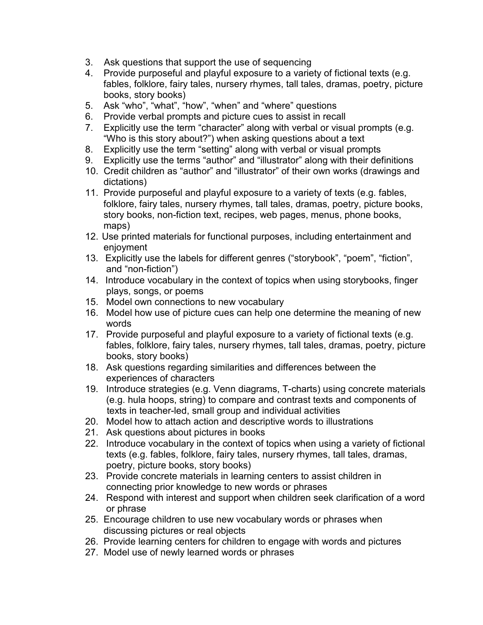- 3. Ask questions that support the use of sequencing
- 4. Provide purposeful and playful exposure to a variety of fictional texts (e.g. fables, folklore, fairy tales, nursery rhymes, tall tales, dramas, poetry, picture books, story books)
- 5. Ask "who", "what", "how", "when" and "where" questions
- 6. Provide verbal prompts and picture cues to assist in recall
- 7. Explicitly use the term "character" along with verbal or visual prompts (e.g. "Who is this story about?") when asking questions about a text
- 8. Explicitly use the term "setting" along with verbal or visual prompts
- 9. Explicitly use the terms "author" and "illustrator" along with their definitions
- 10. Credit children as "author" and "illustrator" of their own works (drawings and dictations)
- 11. Provide purposeful and playful exposure to a variety of texts (e.g. fables, folklore, fairy tales, nursery rhymes, tall tales, dramas, poetry, picture books, story books, non-fiction text, recipes, web pages, menus, phone books, maps)
- 12. Use printed materials for functional purposes, including entertainment and enjoyment
- 13. Explicitly use the labels for different genres ("storybook", "poem", "fiction", and "non-fiction")
- 14. Introduce vocabulary in the context of topics when using storybooks, finger plays, songs, or poems
- 15. Model own connections to new vocabulary
- 16. Model how use of picture cues can help one determine the meaning of new words
- 17. Provide purposeful and playful exposure to a variety of fictional texts (e.g. fables, folklore, fairy tales, nursery rhymes, tall tales, dramas, poetry, picture books, story books)
- 18. Ask questions regarding similarities and differences between the experiences of characters
- 19. Introduce strategies (e.g. Venn diagrams, T-charts) using concrete materials (e.g. hula hoops, string) to compare and contrast texts and components of texts in teacher-led, small group and individual activities
- 20. Model how to attach action and descriptive words to illustrations
- 21. Ask questions about pictures in books
- 22. Introduce vocabulary in the context of topics when using a variety of fictional texts (e.g. fables, folklore, fairy tales, nursery rhymes, tall tales, dramas, poetry, picture books, story books)
- 23. Provide concrete materials in learning centers to assist children in connecting prior knowledge to new words or phrases
- 24. Respond with interest and support when children seek clarification of a word or phrase
- 25. Encourage children to use new vocabulary words or phrases when discussing pictures or real objects
- 26. Provide learning centers for children to engage with words and pictures
- 27. Model use of newly learned words or phrases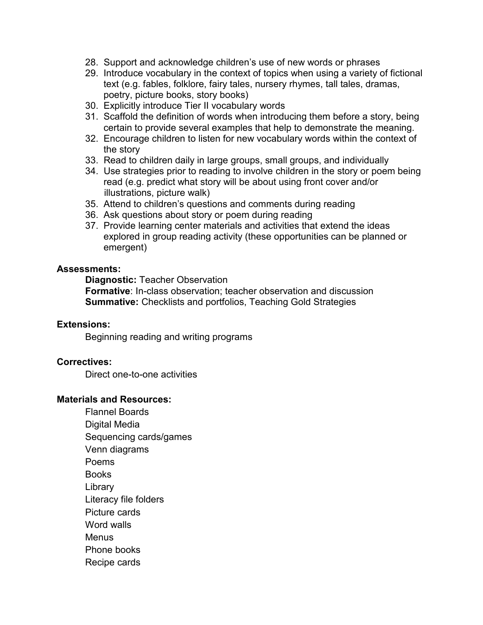- 28. Support and acknowledge children's use of new words or phrases
- 29. Introduce vocabulary in the context of topics when using a variety of fictional text (e.g. fables, folklore, fairy tales, nursery rhymes, tall tales, dramas, poetry, picture books, story books)
- 30. Explicitly introduce Tier II vocabulary words
- 31. Scaffold the definition of words when introducing them before a story, being certain to provide several examples that help to demonstrate the meaning.
- 32. Encourage children to listen for new vocabulary words within the context of the story
- 33. Read to children daily in large groups, small groups, and individually
- 34. Use strategies prior to reading to involve children in the story or poem being read (e.g. predict what story will be about using front cover and/or illustrations, picture walk)
- 35. Attend to children's questions and comments during reading
- 36. Ask questions about story or poem during reading
- 37. Provide learning center materials and activities that extend the ideas explored in group reading activity (these opportunities can be planned or emergent)

#### **Assessments:**

**Diagnostic:** Teacher Observation

**Formative**: In-class observation; teacher observation and discussion **Summative:** Checklists and portfolios, Teaching Gold Strategies

#### **Extensions:**

Beginning reading and writing programs

#### **Correctives:**

Direct one-to-one activities

#### **Materials and Resources:**

 Flannel Boards Digital Media Sequencing cards/games Venn diagrams Poems **Books Library** Literacy file folders Picture cards Word walls **Menus** Phone books Recipe cards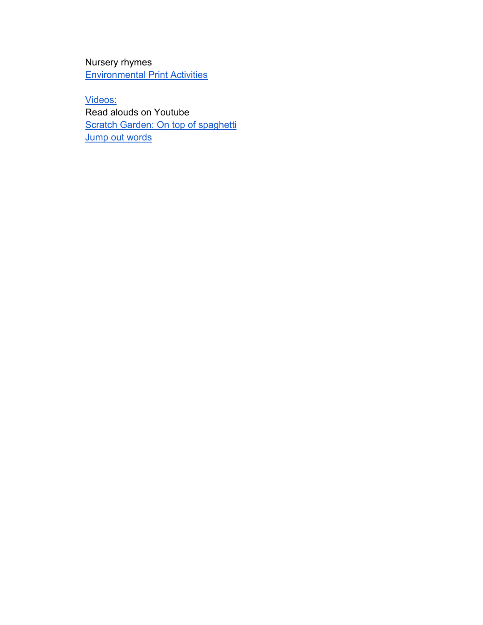Nursery rhymes [Environmental Print Activities](http://www.pre-kpages.com/environmental_print/)

Videos: Read alouds on Youtube [Scratch Garden: On top](https://www.youtube.com/results?sp=mAEB&search_query=scratch+garden+on+top+of+spaghetti) of spaghetti **[Jump out words](https://www.youtube.com/watch?v=Ovg_izXg-6Q)**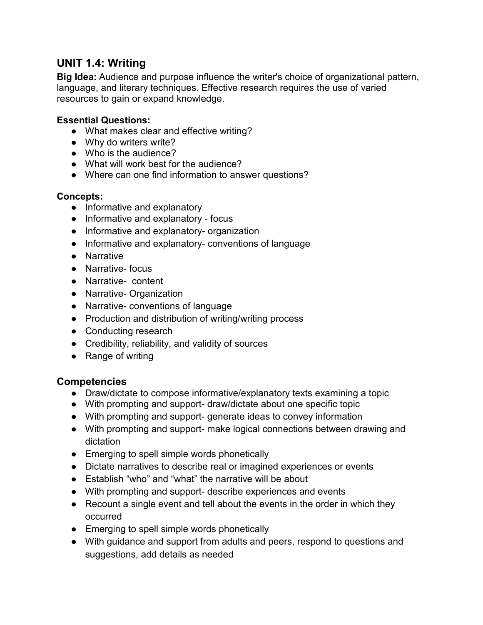## **UNIT 1.4: Writing**

**Big Idea:** Audience and purpose influence the writer's choice of organizational pattern, language, and literary techniques. Effective research requires the use of varied resources to gain or expand knowledge.

#### **Essential Questions:**

- What makes clear and effective writing?
- Why do writers write?
- Who is the audience?
- What will work best for the audience?
- Where can one find information to answer questions?

#### **Concepts:**

- Informative and explanatory
- Informative and explanatory focus
- Informative and explanatory- organization
- Informative and explanatory- conventions of language
- Narrative
- Narrative- focus
- Narrative- content
- Narrative- Organization
- Narrative- conventions of language
- Production and distribution of writing/writing process
- Conducting research
- Credibility, reliability, and validity of sources
- Range of writing

## **Competencies**

- Draw/dictate to compose informative/explanatory texts examining a topic
- With prompting and support- draw/dictate about one specific topic
- With prompting and support- generate ideas to convey information
- With prompting and support- make logical connections between drawing and dictation
- Emerging to spell simple words phonetically
- Dictate narratives to describe real or imagined experiences or events
- Establish "who" and "what" the narrative will be about
- With prompting and support- describe experiences and events
- Recount a single event and tell about the events in the order in which they occurred
- Emerging to spell simple words phonetically
- With guidance and support from adults and peers, respond to questions and suggestions, add details as needed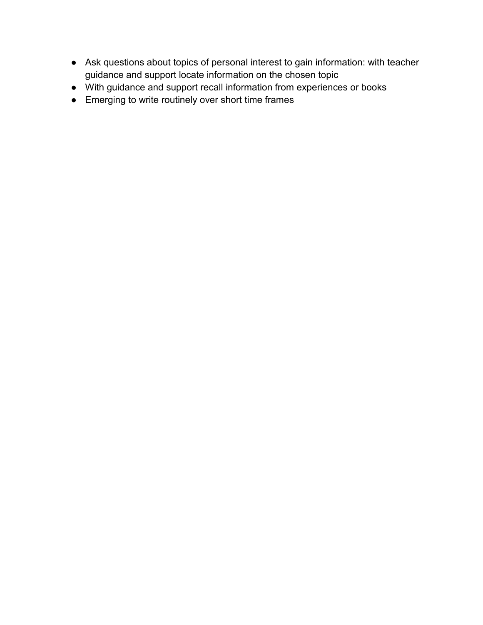- Ask questions about topics of personal interest to gain information: with teacher guidance and support locate information on the chosen topic
- With guidance and support recall information from experiences or books
- Emerging to write routinely over short time frames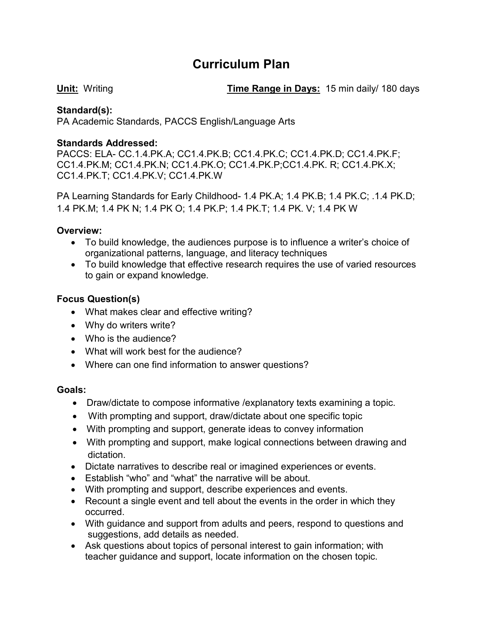## **Curriculum Plan**

**Unit:** Writing **Time Range in Days:** 15 min daily/ 180 days

## **Standard(s):**

PA Academic Standards, PACCS English/Language Arts

#### **Standards Addressed:**

PACCS: ELA- CC.1.4.PK.A; CC1.4.PK.B; CC1.4.PK.C; CC1.4.PK.D; CC1.4.PK.F; CC1.4.PK.M; CC1.4.PK.N; CC1.4.PK.O; CC1.4.PK.P;CC1.4.PK. R; CC1.4.PK.X; CC1.4.PK.T; CC1.4.PK.V; CC1.4.PK.W

PA Learning Standards for Early Childhood- 1.4 PK.A; 1.4 PK.B; 1.4 PK.C; .1.4 PK.D; 1.4 PK.M; 1.4 PK N; 1.4 PK O; 1.4 PK.P; 1.4 PK.T; 1.4 PK. V; 1.4 PK W

#### **Overview:**

- To build knowledge, the audiences purpose is to influence a writer's choice of organizational patterns, language, and literacy techniques
- To build knowledge that effective research requires the use of varied resources to gain or expand knowledge.

#### **Focus Question(s)**

- What makes clear and effective writing?
- Why do writers write?
- Who is the audience?
- What will work best for the audience?
- Where can one find information to answer questions?

#### **Goals:**

- Draw/dictate to compose informative /explanatory texts examining a topic.
- With prompting and support, draw/dictate about one specific topic
- With prompting and support, generate ideas to convey information
- With prompting and support, make logical connections between drawing and dictation.
- Dictate narratives to describe real or imagined experiences or events.
- Establish "who" and "what" the narrative will be about.
- With prompting and support, describe experiences and events.
- Recount a single event and tell about the events in the order in which they occurred.
- With guidance and support from adults and peers, respond to questions and suggestions, add details as needed.
- Ask questions about topics of personal interest to gain information; with teacher guidance and support, locate information on the chosen topic.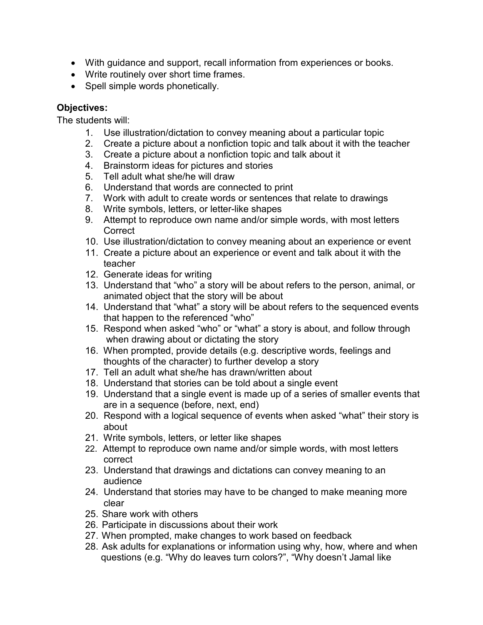- With guidance and support, recall information from experiences or books.
- Write routinely over short time frames.
- Spell simple words phonetically.

## **Objectives:**

The students will:

- 1. Use illustration/dictation to convey meaning about a particular topic
- 2. Create a picture about a nonfiction topic and talk about it with the teacher
- 3. Create a picture about a nonfiction topic and talk about it
- 4. Brainstorm ideas for pictures and stories
- 5. Tell adult what she/he will draw
- 6. Understand that words are connected to print
- 7. Work with adult to create words or sentences that relate to drawings
- 8. Write symbols, letters, or letter-like shapes
- 9. Attempt to reproduce own name and/or simple words, with most letters **Correct**
- 10. Use illustration/dictation to convey meaning about an experience or event
- 11. Create a picture about an experience or event and talk about it with the teacher
- 12. Generate ideas for writing
- 13. Understand that "who" a story will be about refers to the person, animal, or animated object that the story will be about
- 14. Understand that "what" a story will be about refers to the sequenced events that happen to the referenced "who"
- 15. Respond when asked "who" or "what" a story is about, and follow through when drawing about or dictating the story
- 16. When prompted, provide details (e.g. descriptive words, feelings and thoughts of the character) to further develop a story
- 17. Tell an adult what she/he has drawn/written about
- 18. Understand that stories can be told about a single event
- 19. Understand that a single event is made up of a series of smaller events that are in a sequence (before, next, end)
- 20. Respond with a logical sequence of events when asked "what" their story is about
- 21. Write symbols, letters, or letter like shapes
- 22. Attempt to reproduce own name and/or simple words, with most letters correct
- 23. Understand that drawings and dictations can convey meaning to an audience
- 24. Understand that stories may have to be changed to make meaning more clear
- 25. Share work with others
- 26. Participate in discussions about their work
- 27. When prompted, make changes to work based on feedback
- 28. Ask adults for explanations or information using why, how, where and when questions (e.g. "Why do leaves turn colors?", "Why doesn't Jamal like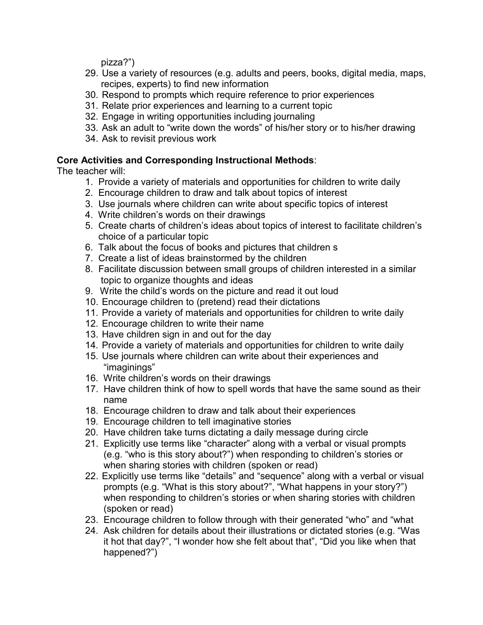pizza?")

- 29. Use a variety of resources (e.g. adults and peers, books, digital media, maps, recipes, experts) to find new information
- 30. Respond to prompts which require reference to prior experiences
- 31. Relate prior experiences and learning to a current topic
- 32. Engage in writing opportunities including journaling
- 33. Ask an adult to "write down the words" of his/her story or to his/her drawing
- 34. Ask to revisit previous work

## **Core Activities and Corresponding Instructional Methods**:

The teacher will:

- 1. Provide a variety of materials and opportunities for children to write daily
- 2. Encourage children to draw and talk about topics of interest
- 3. Use journals where children can write about specific topics of interest
- 4. Write children's words on their drawings
- 5. Create charts of children's ideas about topics of interest to facilitate children's choice of a particular topic
- 6. Talk about the focus of books and pictures that children s
- 7. Create a list of ideas brainstormed by the children
- 8. Facilitate discussion between small groups of children interested in a similar topic to organize thoughts and ideas
- 9. Write the child's words on the picture and read it out loud
- 10. Encourage children to (pretend) read their dictations
- 11. Provide a variety of materials and opportunities for children to write daily
- 12. Encourage children to write their name
- 13. Have children sign in and out for the day
- 14. Provide a variety of materials and opportunities for children to write daily
- 15. Use journals where children can write about their experiences and "imaginings"
- 16. Write children's words on their drawings
- 17. Have children think of how to spell words that have the same sound as their name
- 18. Encourage children to draw and talk about their experiences
- 19. Encourage children to tell imaginative stories
- 20. Have children take turns dictating a daily message during circle
- 21. Explicitly use terms like "character" along with a verbal or visual prompts (e.g. "who is this story about?") when responding to children's stories or when sharing stories with children (spoken or read)
- 22. Explicitly use terms like "details" and "sequence" along with a verbal or visual prompts (e.g. "What is this story about?", "What happens in your story?") when responding to children's stories or when sharing stories with children (spoken or read)
- 23. Encourage children to follow through with their generated "who" and "what
- 24. Ask children for details about their illustrations or dictated stories (e.g. "Was it hot that day?", "I wonder how she felt about that", "Did you like when that happened?")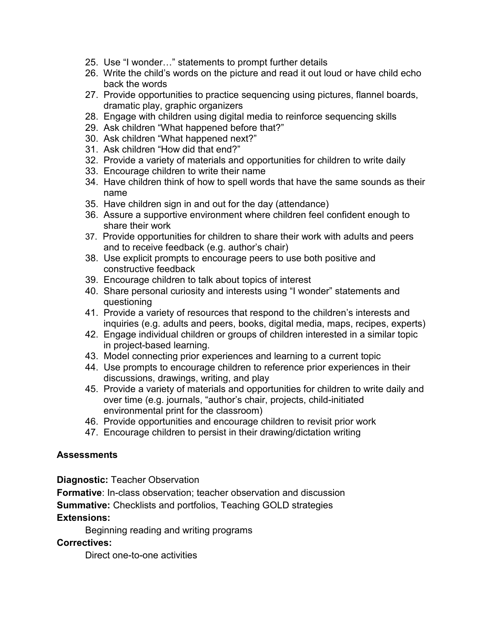- 25. Use "I wonder…" statements to prompt further details
- 26. Write the child's words on the picture and read it out loud or have child echo back the words
- 27. Provide opportunities to practice sequencing using pictures, flannel boards, dramatic play, graphic organizers
- 28. Engage with children using digital media to reinforce sequencing skills
- 29. Ask children "What happened before that?"
- 30. Ask children "What happened next?"
- 31. Ask children "How did that end?"
- 32. Provide a variety of materials and opportunities for children to write daily
- 33. Encourage children to write their name
- 34. Have children think of how to spell words that have the same sounds as their name
- 35. Have children sign in and out for the day (attendance)
- 36. Assure a supportive environment where children feel confident enough to share their work
- 37. Provide opportunities for children to share their work with adults and peers and to receive feedback (e.g. author's chair)
- 38. Use explicit prompts to encourage peers to use both positive and constructive feedback
- 39. Encourage children to talk about topics of interest
- 40. Share personal curiosity and interests using "I wonder" statements and questioning
- 41. Provide a variety of resources that respond to the children's interests and inquiries (e.g. adults and peers, books, digital media, maps, recipes, experts)
- 42. Engage individual children or groups of children interested in a similar topic in project-based learning.
- 43. Model connecting prior experiences and learning to a current topic
- 44. Use prompts to encourage children to reference prior experiences in their discussions, drawings, writing, and play
- 45. Provide a variety of materials and opportunities for children to write daily and over time (e.g. journals, "author's chair, projects, child-initiated environmental print for the classroom)
- 46. Provide opportunities and encourage children to revisit prior work
- 47. Encourage children to persist in their drawing/dictation writing

## **Assessments**

**Diagnostic:** Teacher Observation

**Formative**: In-class observation; teacher observation and discussion

**Summative:** Checklists and portfolios, Teaching GOLD strategies

#### **Extensions:**

Beginning reading and writing programs

**Correctives:** 

Direct one-to-one activities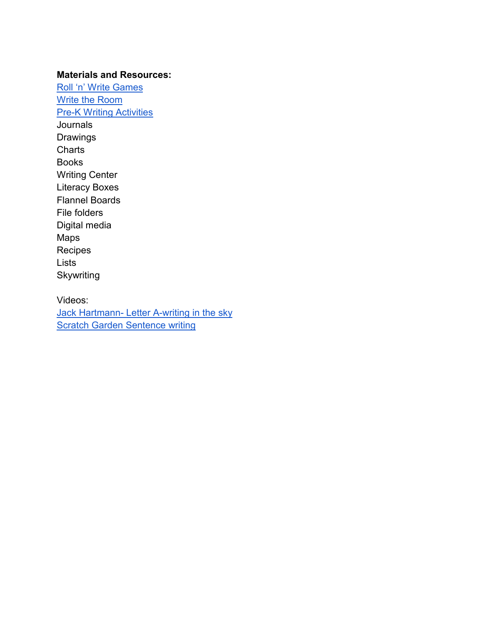#### **Materials and Resources:**

[Roll 'n' Write Games](http://www.prekinders.com/roll-n-write-games/) [Write the Room](http://prekinders.com/write/) **[Pre-K Writing Activities](http://www.pinterest.com/search/pins/?q=pre%20k%20writing%20activities&rs=ac&len=8)** Journals Drawings **Charts** Books Writing Center Literacy Boxes Flannel Boards File folders Digital media Maps Recipes **Lists Skywriting** 

Videos: Jack Hartmann- [Letter A-writing in the sky](https://www.youtube.com/watch?v=KGZFmW3uPJE) **[Scratch Garden Sentence writing](https://www.youtube.com/watch?v=0Wrv_ZviMEc)**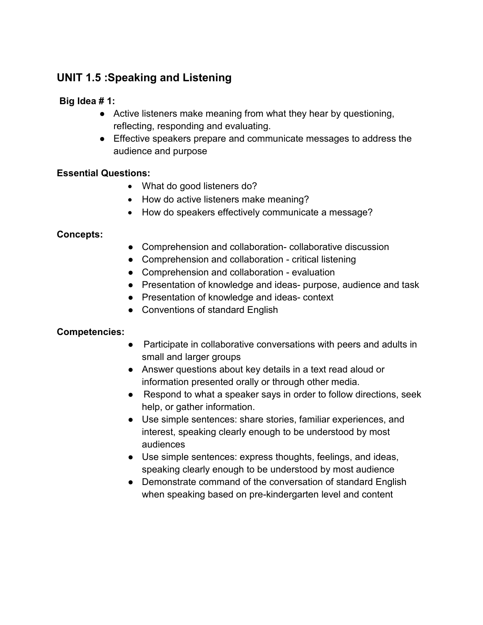## **UNIT 1.5 :Speaking and Listening**

## **Big Idea # 1:**

- Active listeners make meaning from what they hear by questioning, reflecting, responding and evaluating.
- Effective speakers prepare and communicate messages to address the audience and purpose

## **Essential Questions:**

- What do good listeners do?
- How do active listeners make meaning?
- How do speakers effectively communicate a message?

## **Concepts:**

- Comprehension and collaboration- collaborative discussion
- Comprehension and collaboration critical listening
- Comprehension and collaboration evaluation
- Presentation of knowledge and ideas- purpose, audience and task
- Presentation of knowledge and ideas- context
- Conventions of standard English

## **Competencies:**

- Participate in collaborative conversations with peers and adults in small and larger groups
- Answer questions about key details in a text read aloud or information presented orally or through other media.
- Respond to what a speaker says in order to follow directions, seek help, or gather information.
- Use simple sentences: share stories, familiar experiences, and interest, speaking clearly enough to be understood by most audiences
- Use simple sentences: express thoughts, feelings, and ideas, speaking clearly enough to be understood by most audience
- Demonstrate command of the conversation of standard English when speaking based on pre-kindergarten level and content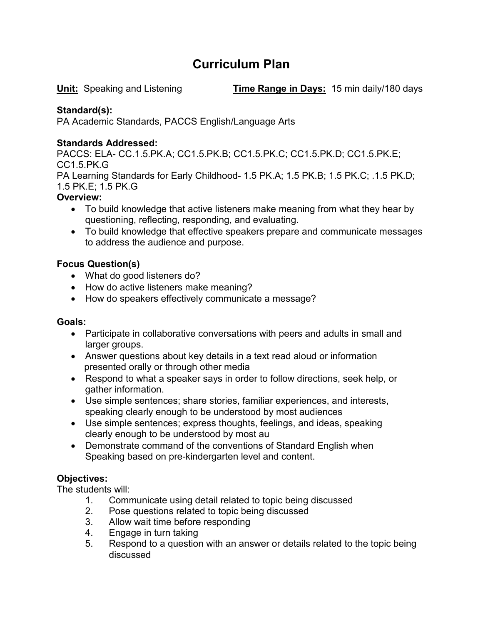## **Curriculum Plan**

**Unit:** Speaking and Listening **Time Range in Days:** 15 min daily/180 days

## **Standard(s):**

PA Academic Standards, PACCS English/Language Arts

## **Standards Addressed:**

PACCS: ELA- CC.1.5.PK.A; CC1.5.PK.B; CC1.5.PK.C; CC1.5.PK.D; CC1.5.PK.E; CC1.5.PK.G

PA Learning Standards for Early Childhood- 1.5 PK.A; 1.5 PK.B; 1.5 PK.C; .1.5 PK.D; 1.5 PK.E; 1.5 PK.G

## **Overview:**

- To build knowledge that active listeners make meaning from what they hear by questioning, reflecting, responding, and evaluating.
- To build knowledge that effective speakers prepare and communicate messages to address the audience and purpose.

## **Focus Question(s)**

- What do good listeners do?
- How do active listeners make meaning?
- How do speakers effectively communicate a message?

## **Goals:**

- Participate in collaborative conversations with peers and adults in small and larger groups.
- Answer questions about key details in a text read aloud or information presented orally or through other media
- Respond to what a speaker says in order to follow directions, seek help, or gather information.
- Use simple sentences; share stories, familiar experiences, and interests, speaking clearly enough to be understood by most audiences
- Use simple sentences; express thoughts, feelings, and ideas, speaking clearly enough to be understood by most au
- Demonstrate command of the conventions of Standard English when Speaking based on pre-kindergarten level and content.

## **Objectives:**

The students will:

- 1. Communicate using detail related to topic being discussed
- 2. Pose questions related to topic being discussed
- 3. Allow wait time before responding
- 4. Engage in turn taking
- 5. Respond to a question with an answer or details related to the topic being discussed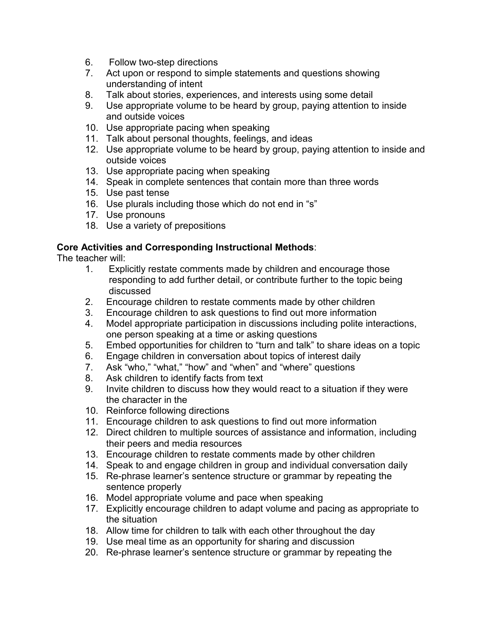- 6. Follow two-step directions
- 7. Act upon or respond to simple statements and questions showing understanding of intent
- 8. Talk about stories, experiences, and interests using some detail
- 9. Use appropriate volume to be heard by group, paying attention to inside and outside voices
- 10. Use appropriate pacing when speaking
- 11. Talk about personal thoughts, feelings, and ideas
- 12. Use appropriate volume to be heard by group, paying attention to inside and outside voices
- 13. Use appropriate pacing when speaking
- 14. Speak in complete sentences that contain more than three words
- 15. Use past tense
- 16. Use plurals including those which do not end in "s"
- 17. Use pronouns
- 18. Use a variety of prepositions

#### **Core Activities and Corresponding Instructional Methods**:

The teacher will:

- 1. Explicitly restate comments made by children and encourage those responding to add further detail, or contribute further to the topic being discussed
- 2. Encourage children to restate comments made by other children
- 3. Encourage children to ask questions to find out more information
- 4. Model appropriate participation in discussions including polite interactions, one person speaking at a time or asking questions
- 5. Embed opportunities for children to "turn and talk" to share ideas on a topic
- 6. Engage children in conversation about topics of interest daily
- 7. Ask "who," "what," "how" and "when" and "where" questions
- 8. Ask children to identify facts from text
- 9. Invite children to discuss how they would react to a situation if they were the character in the
- 10. Reinforce following directions
- 11. Encourage children to ask questions to find out more information
- 12. Direct children to multiple sources of assistance and information, including their peers and media resources
- 13. Encourage children to restate comments made by other children
- 14. Speak to and engage children in group and individual conversation daily
- 15. Re-phrase learner's sentence structure or grammar by repeating the sentence properly
- 16. Model appropriate volume and pace when speaking
- 17. Explicitly encourage children to adapt volume and pacing as appropriate to the situation
- 18. Allow time for children to talk with each other throughout the day
- 19. Use meal time as an opportunity for sharing and discussion
- 20. Re-phrase learner's sentence structure or grammar by repeating the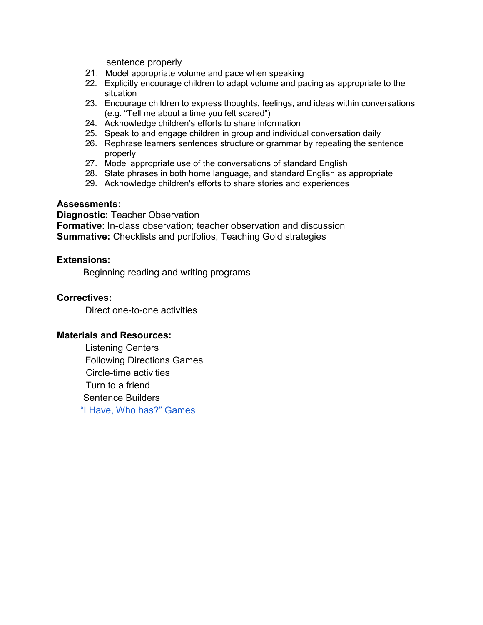sentence properly

- 21. Model appropriate volume and pace when speaking
- 22. Explicitly encourage children to adapt volume and pacing as appropriate to the situation
- 23. Encourage children to express thoughts, feelings, and ideas within conversations (e.g. "Tell me about a time you felt scared")
- 24. Acknowledge children's efforts to share information
- 25. Speak to and engage children in group and individual conversation daily
- 26. Rephrase learners sentences structure or grammar by repeating the sentence properly
- 27. Model appropriate use of the conversations of standard English
- 28. State phrases in both home language, and standard English as appropriate
- 29. Acknowledge children's efforts to share stories and experiences

#### **Assessments:**

**Diagnostic:** Teacher Observation **Formative**: In-class observation; teacher observation and discussion **Summative:** Checklists and portfolios, Teaching Gold strategies

#### **Extensions:**

Beginning reading and writing programs

#### **Correctives:**

Direct one-to-one activities

#### **Materials and Resources:**

Listening Centers Following Directions Games Circle-time activities Turn to a friend Sentence Builders ["I Have, Who has?" Games](http://www.pinterest.com/theactivitymom/i-have-who-has-games/)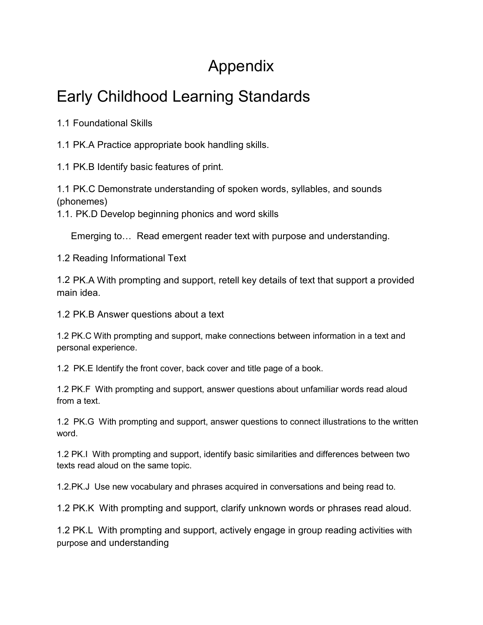# Appendix

# Early Childhood Learning Standards

1.1 Foundational Skills

1.1 PK.A Practice appropriate book handling skills.

1.1 PK.B Identify basic features of print.

1.1 PK.C Demonstrate understanding of spoken words, syllables, and sounds (phonemes)

1.1. PK.D Develop beginning phonics and word skills

Emerging to… Read emergent reader text with purpose and understanding.

1.2 Reading Informational Text

1.2 PK.A With prompting and support, retell key details of text that support a provided main idea.

1.2 PK.B Answer questions about a text

1.2 PK.C With prompting and support, make connections between information in a text and personal experience.

1.2 PK.E Identify the front cover, back cover and title page of a book.

1.2 PK.F With prompting and support, answer questions about unfamiliar words read aloud from a text.

1.2 PK.G With prompting and support, answer questions to connect illustrations to the written word.

1.2 PK.I With prompting and support, identify basic similarities and differences between two texts read aloud on the same topic.

1.2.PK.J Use new vocabulary and phrases acquired in conversations and being read to.

1.2 PK.K With prompting and support, clarify unknown words or phrases read aloud.

1.2 PK.L With prompting and support, actively engage in group reading activities with purpose and understanding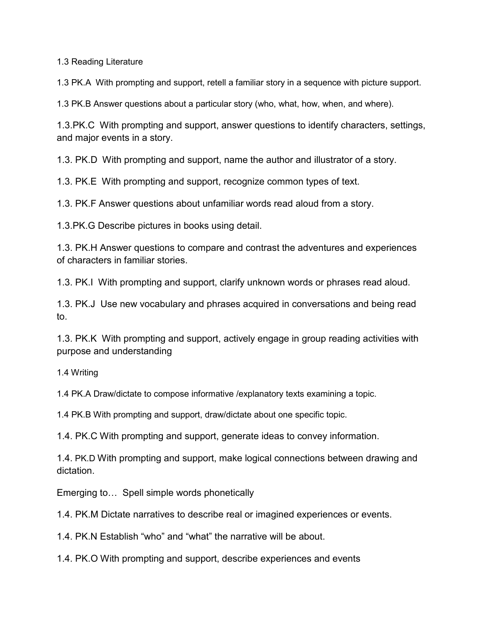1.3 Reading Literature

1.3 PK.A With prompting and support, retell a familiar story in a sequence with picture support.

1.3 PK.B Answer questions about a particular story (who, what, how, when, and where).

1.3.PK.C With prompting and support, answer questions to identify characters, settings, and major events in a story.

1.3. PK.D With prompting and support, name the author and illustrator of a story.

1.3. PK.E With prompting and support, recognize common types of text.

1.3. PK.F Answer questions about unfamiliar words read aloud from a story.

1.3.PK.G Describe pictures in books using detail.

1.3. PK.H Answer questions to compare and contrast the adventures and experiences of characters in familiar stories.

1.3. PK.I With prompting and support, clarify unknown words or phrases read aloud.

1.3. PK.J Use new vocabulary and phrases acquired in conversations and being read to.

1.3. PK.K With prompting and support, actively engage in group reading activities with purpose and understanding

1.4 Writing

1.4 PK.A Draw/dictate to compose informative /explanatory texts examining a topic.

1.4 PK.B With prompting and support, draw/dictate about one specific topic.

1.4. PK.C With prompting and support, generate ideas to convey information.

1.4. PK.D With prompting and support, make logical connections between drawing and dictation.

Emerging to… Spell simple words phonetically

1.4. PK.M Dictate narratives to describe real or imagined experiences or events.

1.4. PK.N Establish "who" and "what" the narrative will be about.

1.4. PK.O With prompting and support, describe experiences and events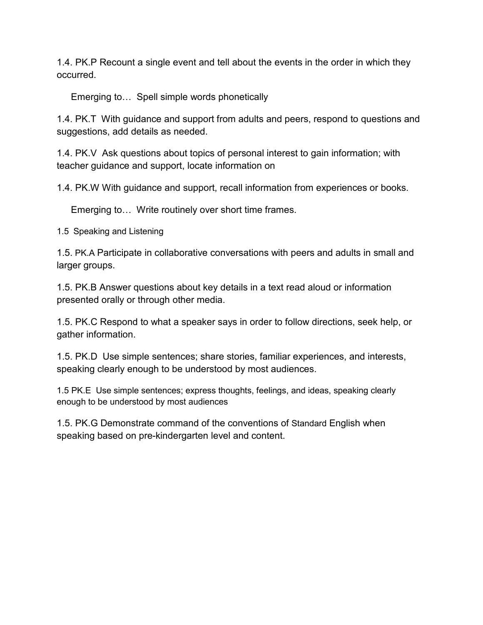1.4. PK.P Recount a single event and tell about the events in the order in which they occurred.

Emerging to… Spell simple words phonetically

1.4. PK.T With guidance and support from adults and peers, respond to questions and suggestions, add details as needed.

1.4. PK.V Ask questions about topics of personal interest to gain information; with teacher guidance and support, locate information on

1.4. PK.W With guidance and support, recall information from experiences or books.

Emerging to… Write routinely over short time frames.

1.5 Speaking and Listening

1.5. PK.A Participate in collaborative conversations with peers and adults in small and larger groups.

1.5. PK.B Answer questions about key details in a text read aloud or information presented orally or through other media.

1.5. PK.C Respond to what a speaker says in order to follow directions, seek help, or gather information.

1.5. PK.D Use simple sentences; share stories, familiar experiences, and interests, speaking clearly enough to be understood by most audiences.

1.5 PK.E Use simple sentences; express thoughts, feelings, and ideas, speaking clearly enough to be understood by most audiences

1.5. PK.G Demonstrate command of the conventions of Standard English when speaking based on pre-kindergarten level and content.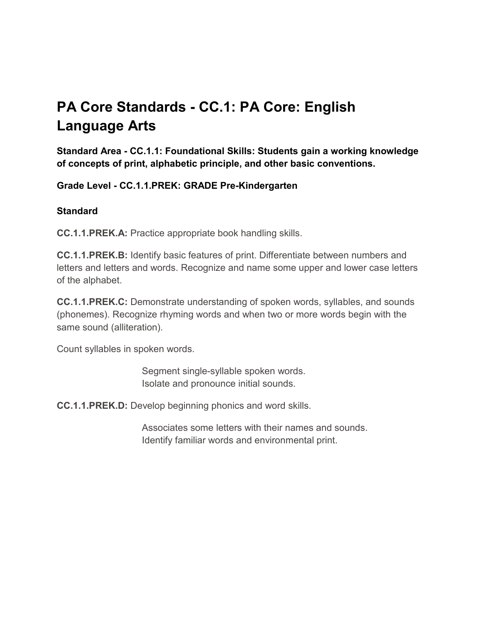# **PA Core Standards - CC.1: PA Core: English Language Arts**

**Standard Area - CC.1.1: Foundational Skills: Students gain a working knowledge of concepts of print, alphabetic principle, and other basic conventions.**

**Grade Level - CC.1.1.PREK: GRADE Pre-Kindergarten**

## **Standard**

**CC.1.1.PREK.A:** Practice appropriate book handling skills.

**CC.1.1.PREK.B:** Identify basic features of print. Differentiate between numbers and letters and letters and words. Recognize and name some upper and lower case letters of the alphabet.

**CC.1.1.PREK.C:** Demonstrate understanding of spoken words, syllables, and sounds (phonemes). Recognize rhyming words and when two or more words begin with the same sound (alliteration).

Count syllables in spoken words.

 Segment single-syllable spoken words. Isolate and pronounce initial sounds.

**CC.1.1.PREK.D:** Develop beginning phonics and word skills.

 Associates some letters with their names and sounds. Identify familiar words and environmental print.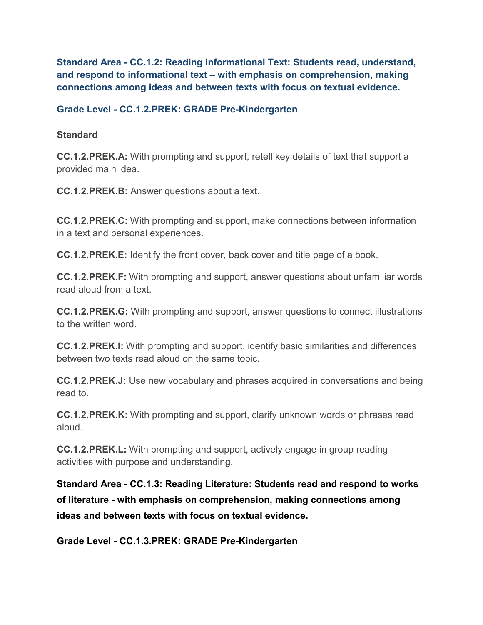**Standard Area - CC.1.2: Reading Informational Text: Students read, understand, and respond to informational text – with emphasis on comprehension, making connections among ideas and between texts with focus on textual evidence.**

#### **Grade Level - CC.1.2.PREK: GRADE Pre-Kindergarten**

#### **Standard**

**CC.1.2.PREK.A:** With prompting and support, retell key details of text that support a provided main idea.

**CC.1.2.PREK.B:** Answer questions about a text.

**CC.1.2.PREK.C:** With prompting and support, make connections between information in a text and personal experiences.

**CC.1.2.PREK.E:** Identify the front cover, back cover and title page of a book.

**CC.1.2.PREK.F:** With prompting and support, answer questions about unfamiliar words read aloud from a text.

**CC.1.2.PREK.G:** With prompting and support, answer questions to connect illustrations to the written word.

**CC.1.2.PREK.I:** With prompting and support, identify basic similarities and differences between two texts read aloud on the same topic.

**CC.1.2.PREK.J:** Use new vocabulary and phrases acquired in conversations and being read to.

**CC.1.2.PREK.K:** With prompting and support, clarify unknown words or phrases read aloud.

**CC.1.2.PREK.L:** With prompting and support, actively engage in group reading activities with purpose and understanding.

**Standard Area - CC.1.3: Reading Literature: Students read and respond to works of literature - with emphasis on comprehension, making connections among ideas and between texts with focus on textual evidence.**

**Grade Level - CC.1.3.PREK: GRADE Pre-Kindergarten**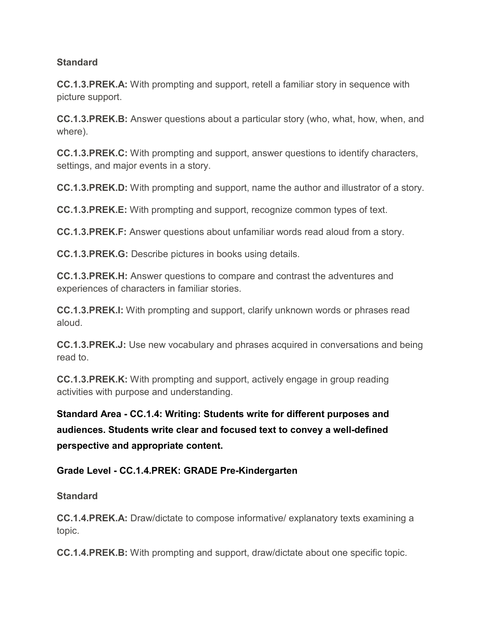## **Standard**

**CC.1.3.PREK.A:** With prompting and support, retell a familiar story in sequence with picture support.

**CC.1.3.PREK.B:** Answer questions about a particular story (who, what, how, when, and where).

**CC.1.3.PREK.C:** With prompting and support, answer questions to identify characters, settings, and major events in a story.

**CC.1.3.PREK.D:** With prompting and support, name the author and illustrator of a story.

**CC.1.3.PREK.E:** With prompting and support, recognize common types of text.

**CC.1.3.PREK.F:** Answer questions about unfamiliar words read aloud from a story.

**CC.1.3.PREK.G:** Describe pictures in books using details.

**CC.1.3.PREK.H:** Answer questions to compare and contrast the adventures and experiences of characters in familiar stories.

**CC.1.3.PREK.I:** With prompting and support, clarify unknown words or phrases read aloud.

**CC.1.3.PREK.J:** Use new vocabulary and phrases acquired in conversations and being read to.

**CC.1.3.PREK.K:** With prompting and support, actively engage in group reading activities with purpose and understanding.

**Standard Area - CC.1.4: Writing: Students write for different purposes and audiences. Students write clear and focused text to convey a well-defined perspective and appropriate content.**

## **Grade Level - CC.1.4.PREK: GRADE Pre-Kindergarten**

## **Standard**

**CC.1.4.PREK.A:** Draw/dictate to compose informative/ explanatory texts examining a topic.

**CC.1.4.PREK.B:** With prompting and support, draw/dictate about one specific topic.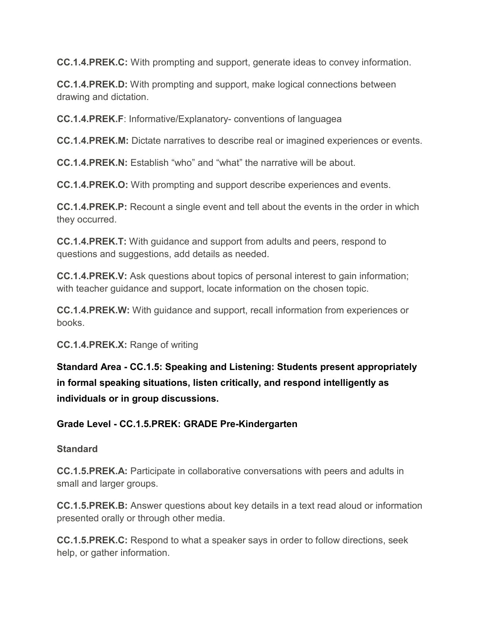**CC.1.4.PREK.C:** With prompting and support, generate ideas to convey information.

**CC.1.4.PREK.D:** With prompting and support, make logical connections between drawing and dictation.

**CC.1.4.PREK.F**: Informative/Explanatory- conventions of languagea

**CC.1.4.PREK.M:** Dictate narratives to describe real or imagined experiences or events.

**CC.1.4.PREK.N:** Establish "who" and "what" the narrative will be about.

**CC.1.4.PREK.O:** With prompting and support describe experiences and events.

**CC.1.4.PREK.P:** Recount a single event and tell about the events in the order in which they occurred.

**CC.1.4.PREK.T:** With guidance and support from adults and peers, respond to questions and suggestions, add details as needed.

**CC.1.4.PREK.V:** Ask questions about topics of personal interest to gain information; with teacher guidance and support, locate information on the chosen topic.

**CC.1.4.PREK.W:** With guidance and support, recall information from experiences or books.

**CC.1.4.PREK.X:** Range of writing

**Standard Area - CC.1.5: Speaking and Listening: Students present appropriately in formal speaking situations, listen critically, and respond intelligently as individuals or in group discussions.**

## **Grade Level - CC.1.5.PREK: GRADE Pre-Kindergarten**

## **Standard**

**CC.1.5.PREK.A:** Participate in collaborative conversations with peers and adults in small and larger groups.

**CC.1.5.PREK.B:** Answer questions about key details in a text read aloud or information presented orally or through other media.

**CC.1.5.PREK.C:** Respond to what a speaker says in order to follow directions, seek help, or gather information.